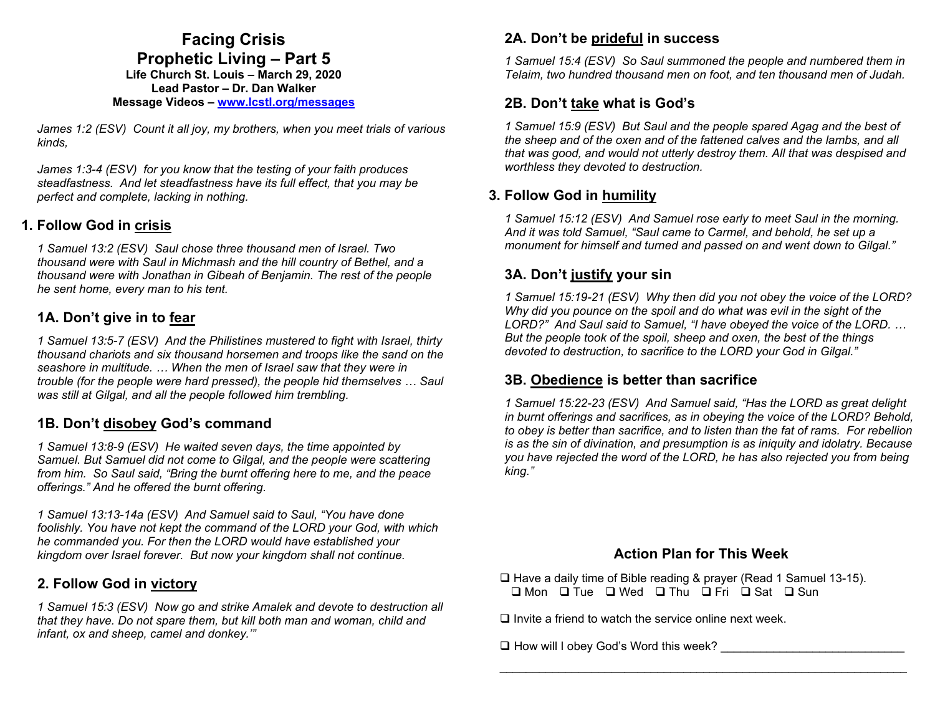## **Facing Crisis Prophetic Living – Part 5 Life Church St. Louis** *–* **March 29, 2020 Lead Pastor – Dr. Dan Walker**

#### **Message Videos – www.lcstl.org/messages**

*James 1:2 (ESV) Count it all joy, my brothers, when you meet trials of various kinds,* 

*James 1:3-4 (ESV) for you know that the testing of your faith produces steadfastness. And let steadfastness have its full effect, that you may be perfect and complete, lacking in nothing.* 

#### **1. Follow God in crisis**

*1 Samuel 13:2 (ESV) Saul chose three thousand men of Israel. Two thousand were with Saul in Michmash and the hill country of Bethel, and a thousand were with Jonathan in Gibeah of Benjamin. The rest of the people he sent home, every man to his tent.* 

#### **1A. Don't give in to fear**

*1 Samuel 13:5-7 (ESV) And the Philistines mustered to fight with Israel, thirty thousand chariots and six thousand horsemen and troops like the sand on the seashore in multitude. … When the men of Israel saw that they were in trouble (for the people were hard pressed), the people hid themselves … Saul was still at Gilgal, and all the people followed him trembling.* 

### **1B. Don't disobey God's command**

*1 Samuel 13:8-9 (ESV) He waited seven days, the time appointed by Samuel. But Samuel did not come to Gilgal, and the people were scattering from him. So Saul said, "Bring the burnt offering here to me, and the peace offerings." And he offered the burnt offering.* 

*1 Samuel 13:13-14a (ESV) And Samuel said to Saul, "You have done foolishly. You have not kept the command of the LORD your God, with which he commanded you. For then the LORD would have established your kingdom over Israel forever. But now your kingdom shall not continue.* 

### **2. Follow God in victory**

*1 Samuel 15:3 (ESV) Now go and strike Amalek and devote to destruction all that they have. Do not spare them, but kill both man and woman, child and infant, ox and sheep, camel and donkey.'"* 

### **2A. Don't be prideful in success**

*1 Samuel 15:4 (ESV) So Saul summoned the people and numbered them in Telaim, two hundred thousand men on foot, and ten thousand men of Judah.* 

### **2B. Don't take what is God's**

*1 Samuel 15:9 (ESV) But Saul and the people spared Agag and the best of the sheep and of the oxen and of the fattened calves and the lambs, and all that was good, and would not utterly destroy them. All that was despised and worthless they devoted to destruction.* 

## **3. Follow God in humility**

*1 Samuel 15:12 (ESV) And Samuel rose early to meet Saul in the morning. And it was told Samuel, "Saul came to Carmel, and behold, he set up a monument for himself and turned and passed on and went down to Gilgal."* 

## **3A. Don't justify your sin**

*1 Samuel 15:19-21 (ESV) Why then did you not obey the voice of the LORD? Why did you pounce on the spoil and do what was evil in the sight of the LORD?" And Saul said to Samuel, "I have obeyed the voice of the LORD. … But the people took of the spoil, sheep and oxen, the best of the things devoted to destruction, to sacrifice to the LORD your God in Gilgal."* 

### **3B. Obedience is better than sacrifice**

*1 Samuel 15:22-23 (ESV) And Samuel said, "Has the LORD as great delight in burnt offerings and sacrifices, as in obeying the voice of the LORD? Behold, to obey is better than sacrifice, and to listen than the fat of rams. For rebellion is as the sin of divination, and presumption is as iniquity and idolatry. Because you have rejected the word of the LORD, he has also rejected you from being king."* 

#### **Action Plan for This Week**

□ Have a daily time of Bible reading & prayer (Read 1 Samuel 13-15).  $\Box$  Mon  $\Box$  Tue  $\Box$  Wed  $\Box$  Thu  $\Box$  Fri  $\Box$  Sat  $\Box$  Sun

 $\square$  Invite a friend to watch the service online next week.

 $\Box$  How will I obey God's Word this week?